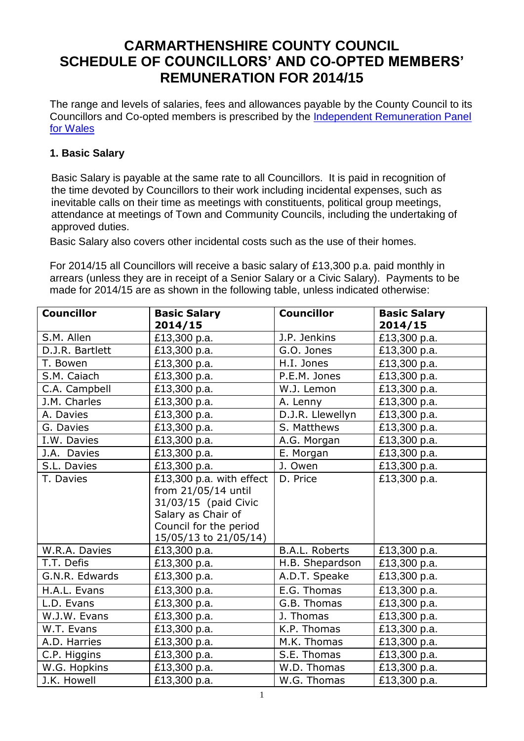# **CARMARTHENSHIRE COUNTY COUNCIL SCHEDULE OF COUNCILLORS' AND CO-OPTED MEMBERS' REMUNERATION FOR 2014/15**

The range and levels of salaries, fees and allowances payable by the County Council to its Councillors and Co-opted members is prescribed by the [Independent Remuneration Panel](http://cymru.gov.uk/irpwsub/home/;jsessionid=RX0lNn2DywqsQLwnmtCFwh2GQ7gStxjH7d0TmNffYLT78jSJGTJG!395851124?lang=en&ts=1)  [for Wales](http://cymru.gov.uk/irpwsub/home/;jsessionid=RX0lNn2DywqsQLwnmtCFwh2GQ7gStxjH7d0TmNffYLT78jSJGTJG!395851124?lang=en&ts=1)

## **1. Basic Salary**

Basic Salary is payable at the same rate to all Councillors. It is paid in recognition of the time devoted by Councillors to their work including incidental expenses, such as inevitable calls on their time as meetings with constituents, political group meetings, attendance at meetings of Town and Community Councils, including the undertaking of approved duties.

Basic Salary also covers other incidental costs such as the use of their homes.

For 2014/15 all Councillors will receive a basic salary of £13,300 p.a. paid monthly in arrears (unless they are in receipt of a Senior Salary or a Civic Salary). Payments to be made for 2014/15 are as shown in the following table, unless indicated otherwise:

| <b>Councillor</b> | <b>Basic Salary</b>      | <b>Councillor</b>     | <b>Basic Salary</b>     |
|-------------------|--------------------------|-----------------------|-------------------------|
| S.M. Allen        | 2014/15<br>£13,300 p.a.  | J.P. Jenkins          | 2014/15<br>£13,300 p.a. |
| D.J.R. Bartlett   | £13,300 p.a.             | G.O. Jones            | £13,300 p.a.            |
| T. Bowen          |                          | H.I. Jones            |                         |
|                   | £13,300 p.a.             |                       | £13,300 p.a.            |
| S.M. Caiach       | £13,300 p.a.             | P.E.M. Jones          | £13,300 p.a.            |
| C.A. Campbell     | £13,300 p.a.             | W.J. Lemon            | £13,300 p.a.            |
| J.M. Charles      | £13,300 p.a.             | A. Lenny              | £13,300 p.a.            |
| A. Davies         | £13,300 p.a.             | D.J.R. Llewellyn      | £13,300 p.a.            |
| G. Davies         | £13,300 p.a.             | S. Matthews           | £13,300 p.a.            |
| I.W. Davies       | £13,300 p.a.             | A.G. Morgan           | £13,300 p.a.            |
| J.A. Davies       | £13,300 p.a.             | E. Morgan             | £13,300 p.a.            |
| S.L. Davies       | £13,300 p.a.             | J. Owen               | £13,300 p.a.            |
| T. Davies         | £13,300 p.a. with effect | D. Price              | £13,300 p.a.            |
|                   | from 21/05/14 until      |                       |                         |
|                   | 31/03/15 (paid Civic     |                       |                         |
|                   | Salary as Chair of       |                       |                         |
|                   | Council for the period   |                       |                         |
|                   | 15/05/13 to 21/05/14)    |                       |                         |
| W.R.A. Davies     | £13,300 p.a.             | <b>B.A.L. Roberts</b> | £13,300 p.a.            |
| T.T. Defis        | £13,300 p.a.             | H.B. Shepardson       | £13,300 p.a.            |
| G.N.R. Edwards    | £13,300 p.a.             | A.D.T. Speake         | £13,300 p.a.            |
| H.A.L. Evans      | £13,300 p.a.             | E.G. Thomas           | £13,300 p.a.            |
| L.D. Evans        | £13,300 p.a.             | G.B. Thomas           | £13,300 p.a.            |
| W.J.W. Evans      | £13,300 p.a.             | J. Thomas             | £13,300 p.a.            |
| W.T. Evans        | £13,300 p.a.             | K.P. Thomas           | £13,300 p.a.            |
| A.D. Harries      | £13,300 p.a.             | M.K. Thomas           | £13,300 p.a.            |
| C.P. Higgins      | £13,300 p.a.             | S.E. Thomas           | £13,300 p.a.            |
| W.G. Hopkins      | £13,300 p.a.             | W.D. Thomas           | £13,300 p.a.            |
| J.K. Howell       | £13,300 p.a.             | W.G. Thomas           | £13,300 p.a.            |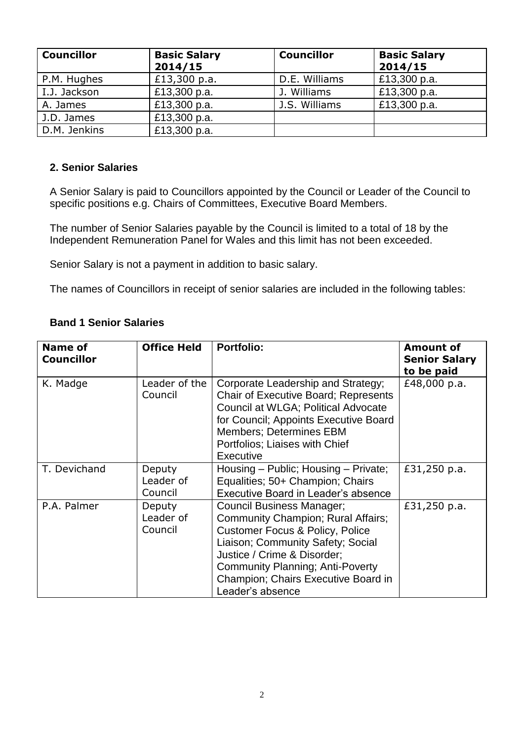| <b>Councillor</b> | <b>Basic Salary</b><br>2014/15 | <b>Councillor</b> | <b>Basic Salary</b><br>2014/15 |
|-------------------|--------------------------------|-------------------|--------------------------------|
| P.M. Hughes       | £13,300 p.a.                   | D.E. Williams     | £13,300 p.a.                   |
| I.J. Jackson      | £13,300 p.a.                   | J. Williams       | £13,300 p.a.                   |
| A. James          | £13,300 p.a.                   | J.S. Williams     | £13,300 p.a.                   |
| J.D. James        | £13,300 p.a.                   |                   |                                |
| D.M. Jenkins      | £13,300 p.a.                   |                   |                                |

#### **2. Senior Salaries**

A Senior Salary is paid to Councillors appointed by the Council or Leader of the Council to specific positions e.g. Chairs of Committees, Executive Board Members.

The number of Senior Salaries payable by the Council is limited to a total of 18 by the Independent Remuneration Panel for Wales and this limit has not been exceeded.

Senior Salary is not a payment in addition to basic salary.

The names of Councillors in receipt of senior salaries are included in the following tables:

#### **Band 1 Senior Salaries**

| <b>Name of</b><br><b>Councillor</b> | <b>Office Held</b>             | <b>Portfolio:</b>                                                                                                                                                                                                                                                                       | <b>Amount of</b><br><b>Senior Salary</b><br>to be paid |
|-------------------------------------|--------------------------------|-----------------------------------------------------------------------------------------------------------------------------------------------------------------------------------------------------------------------------------------------------------------------------------------|--------------------------------------------------------|
| K. Madge                            | Leader of the<br>Council       | Corporate Leadership and Strategy;<br><b>Chair of Executive Board; Represents</b><br>Council at WLGA; Political Advocate<br>for Council; Appoints Executive Board<br><b>Members; Determines EBM</b><br>Portfolios: Liaises with Chief<br><b>Executive</b>                               | £48,000 p.a.                                           |
| T. Devichand                        | Deputy<br>Leader of<br>Council | Housing – Public; Housing – Private;<br>Equalities; 50+ Champion; Chairs<br>Executive Board in Leader's absence                                                                                                                                                                         | £31,250 p.a.                                           |
| P.A. Palmer                         | Deputy<br>Leader of<br>Council | Council Business Manager;<br>Community Champion; Rural Affairs;<br><b>Customer Focus &amp; Policy, Police</b><br>Liaison; Community Safety; Social<br>Justice / Crime & Disorder;<br><b>Community Planning; Anti-Poverty</b><br>Champion; Chairs Executive Board in<br>Leader's absence | £31,250 p.a.                                           |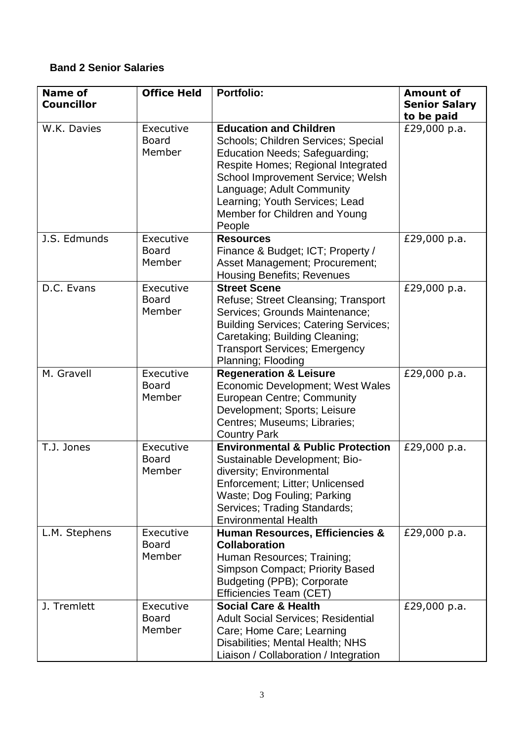# **Band 2 Senior Salaries**

| <b>Name of</b><br><b>Councillor</b> | <b>Office Held</b>                  | <b>Portfolio:</b>                                                                                                                                                                                                                                                                                  | <b>Amount of</b><br><b>Senior Salary</b><br>to be paid |
|-------------------------------------|-------------------------------------|----------------------------------------------------------------------------------------------------------------------------------------------------------------------------------------------------------------------------------------------------------------------------------------------------|--------------------------------------------------------|
| W.K. Davies                         | Executive<br><b>Board</b><br>Member | <b>Education and Children</b><br>Schools; Children Services; Special<br><b>Education Needs; Safeguarding;</b><br>Respite Homes; Regional Integrated<br>School Improvement Service; Welsh<br>Language; Adult Community<br>Learning; Youth Services; Lead<br>Member for Children and Young<br>People | £29,000 p.a.                                           |
| J.S. Edmunds                        | Executive<br><b>Board</b><br>Member | <b>Resources</b><br>Finance & Budget; ICT; Property /<br>Asset Management; Procurement;<br><b>Housing Benefits; Revenues</b>                                                                                                                                                                       | £29,000 p.a.                                           |
| D.C. Evans                          | Executive<br><b>Board</b><br>Member | <b>Street Scene</b><br>Refuse; Street Cleansing; Transport<br>Services: Grounds Maintenance:<br><b>Building Services; Catering Services;</b><br>Caretaking; Building Cleaning;<br><b>Transport Services; Emergency</b><br>Planning; Flooding                                                       | £29,000 p.a.                                           |
| M. Gravell                          | Executive<br><b>Board</b><br>Member | <b>Regeneration &amp; Leisure</b><br>Economic Development; West Wales<br><b>European Centre; Community</b><br>Development; Sports; Leisure<br>Centres; Museums; Libraries;<br><b>Country Park</b>                                                                                                  | £29,000 p.a.                                           |
| T.J. Jones                          | Executive<br><b>Board</b><br>Member | <b>Environmental &amp; Public Protection</b><br>Sustainable Development; Bio-<br>diversity; Environmental<br>Enforcement; Litter; Unlicensed<br>Waste; Dog Fouling; Parking<br>Services; Trading Standards;<br><b>Environmental Health</b>                                                         | £29,000 p.a.                                           |
| L.M. Stephens                       | Executive<br><b>Board</b><br>Member | <b>Human Resources, Efficiencies &amp;</b><br><b>Collaboration</b><br>Human Resources; Training;<br><b>Simpson Compact; Priority Based</b><br>Budgeting (PPB); Corporate<br>Efficiencies Team (CET)                                                                                                | £29,000 p.a.                                           |
| J. Tremlett                         | Executive<br><b>Board</b><br>Member | <b>Social Care &amp; Health</b><br><b>Adult Social Services; Residential</b><br>Care; Home Care; Learning<br>Disabilities; Mental Health; NHS<br>Liaison / Collaboration / Integration                                                                                                             | £29,000 p.a.                                           |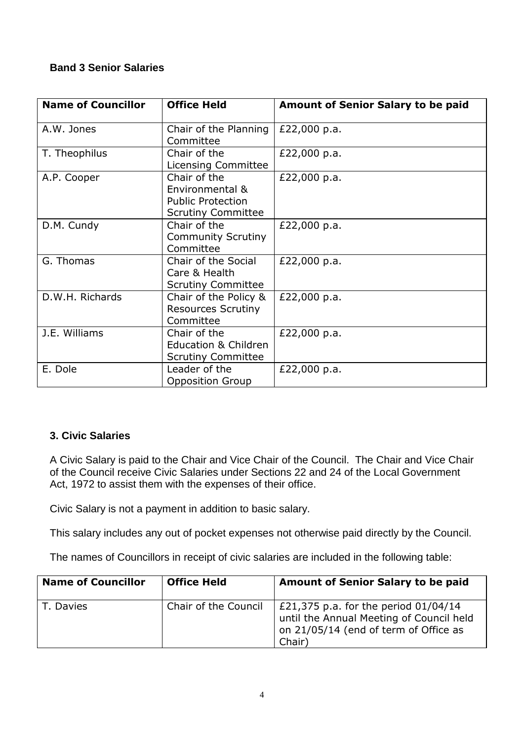# **Band 3 Senior Salaries**

| <b>Name of Councillor</b> | <b>Office Held</b>                                                                       | <b>Amount of Senior Salary to be paid</b> |
|---------------------------|------------------------------------------------------------------------------------------|-------------------------------------------|
| A.W. Jones                | Chair of the Planning<br>Committee                                                       | £22,000 p.a.                              |
| T. Theophilus             | Chair of the<br>Licensing Committee                                                      | £22,000 p.a.                              |
| A.P. Cooper               | Chair of the<br>Environmental &<br><b>Public Protection</b><br><b>Scrutiny Committee</b> | £22,000 p.a.                              |
| D.M. Cundy                | Chair of the<br><b>Community Scrutiny</b><br>Committee                                   | £22,000 p.a.                              |
| G. Thomas                 | Chair of the Social<br>Care & Health<br><b>Scrutiny Committee</b>                        | £22,000 p.a.                              |
| D.W.H. Richards           | Chair of the Policy &<br><b>Resources Scrutiny</b><br>Committee                          | £22,000 p.a.                              |
| J.E. Williams             | Chair of the<br>Education & Children<br><b>Scrutiny Committee</b>                        | £22,000 p.a.                              |
| E. Dole                   | Leader of the<br><b>Opposition Group</b>                                                 | £22,000 p.a.                              |

# **3. Civic Salaries**

A Civic Salary is paid to the Chair and Vice Chair of the Council. The Chair and Vice Chair of the Council receive Civic Salaries under Sections 22 and 24 of the Local Government Act, 1972 to assist them with the expenses of their office.

Civic Salary is not a payment in addition to basic salary.

This salary includes any out of pocket expenses not otherwise paid directly by the Council.

The names of Councillors in receipt of civic salaries are included in the following table:

| <b>Name of Councillor</b> | <b>Office Held</b>   | <b>Amount of Senior Salary to be paid</b>                                                                                             |
|---------------------------|----------------------|---------------------------------------------------------------------------------------------------------------------------------------|
| T. Davies                 | Chair of the Council | £21,375 p.a. for the period $01/04/14$<br>until the Annual Meeting of Council held<br>on 21/05/14 (end of term of Office as<br>Chair) |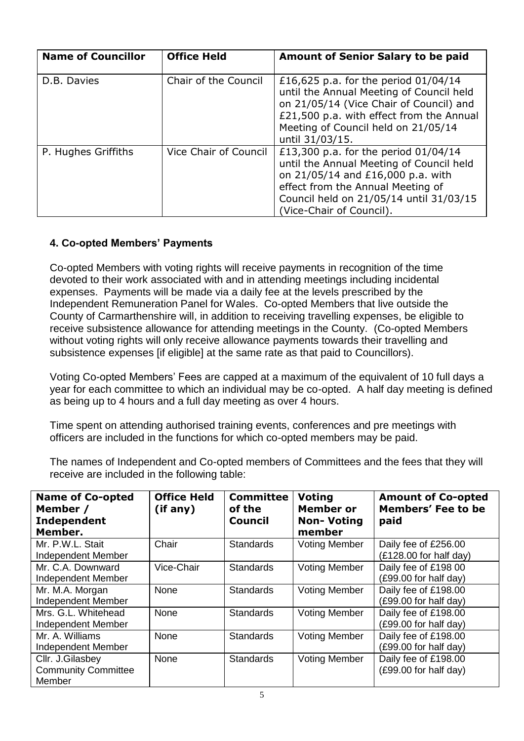| <b>Name of Councillor</b> | <b>Office Held</b>    | <b>Amount of Senior Salary to be paid</b>                                                                                                                                                                                           |
|---------------------------|-----------------------|-------------------------------------------------------------------------------------------------------------------------------------------------------------------------------------------------------------------------------------|
| D.B. Davies               | Chair of the Council  | £16,625 p.a. for the period $01/04/14$<br>until the Annual Meeting of Council held<br>on 21/05/14 (Vice Chair of Council) and<br>£21,500 p.a. with effect from the Annual<br>Meeting of Council held on 21/05/14<br>until 31/03/15. |
| P. Hughes Griffiths       | Vice Chair of Council | £13,300 p.a. for the period 01/04/14<br>until the Annual Meeting of Council held<br>on 21/05/14 and £16,000 p.a. with<br>effect from the Annual Meeting of<br>Council held on 21/05/14 until 31/03/15<br>(Vice-Chair of Council).   |

# **4. Co-opted Members' Payments**

Co-opted Members with voting rights will receive payments in recognition of the time devoted to their work associated with and in attending meetings including incidental expenses. Payments will be made via a daily fee at the levels prescribed by the Independent Remuneration Panel for Wales. Co-opted Members that live outside the County of Carmarthenshire will, in addition to receiving travelling expenses, be eligible to receive subsistence allowance for attending meetings in the County. (Co-opted Members without voting rights will only receive allowance payments towards their travelling and subsistence expenses [if eligible] at the same rate as that paid to Councillors).

Voting Co-opted Members' Fees are capped at a maximum of the equivalent of 10 full days a year for each committee to which an individual may be co-opted. A half day meeting is defined as being up to 4 hours and a full day meeting as over 4 hours.

Time spent on attending authorised training events, conferences and pre meetings with officers are included in the functions for which co-opted members may be paid.

The names of Independent and Co-opted members of Committees and the fees that they will receive are included in the following table:

| <b>Name of Co-opted</b><br>Member /<br>Independent<br>Member. | <b>Office Held</b><br>(if any) | <b>Committee</b><br>of the<br><b>Council</b> | <b>Voting</b><br>Member or<br><b>Non-Voting</b><br>member | <b>Amount of Co-opted</b><br><b>Members' Fee to be</b><br>paid |
|---------------------------------------------------------------|--------------------------------|----------------------------------------------|-----------------------------------------------------------|----------------------------------------------------------------|
| Mr. P.W.L. Stait<br>Independent Member                        | Chair                          | <b>Standards</b>                             | <b>Voting Member</b>                                      | Daily fee of £256.00<br>$(E128.00$ for half day)               |
| Mr. C.A. Downward<br>Independent Member                       | Vice-Chair                     | <b>Standards</b>                             | <b>Voting Member</b>                                      | Daily fee of £198 00<br>(£99.00 for half day)                  |
| Mr. M.A. Morgan<br><b>Independent Member</b>                  | None                           | <b>Standards</b>                             | <b>Voting Member</b>                                      | Daily fee of £198.00<br>(£99.00 for half day)                  |
| Mrs. G.L. Whitehead<br>Independent Member                     | None                           | <b>Standards</b>                             | <b>Voting Member</b>                                      | Daily fee of £198.00<br>$(E99.00$ for half day)                |
| Mr. A. Williams<br>Independent Member                         | None                           | <b>Standards</b>                             | <b>Voting Member</b>                                      | Daily fee of £198.00<br>(£99.00 for half day)                  |
| Cllr. J.Gilasbey<br><b>Community Committee</b><br>Member      | None                           | <b>Standards</b>                             | <b>Voting Member</b>                                      | Daily fee of £198.00<br>(£99.00 for half day)                  |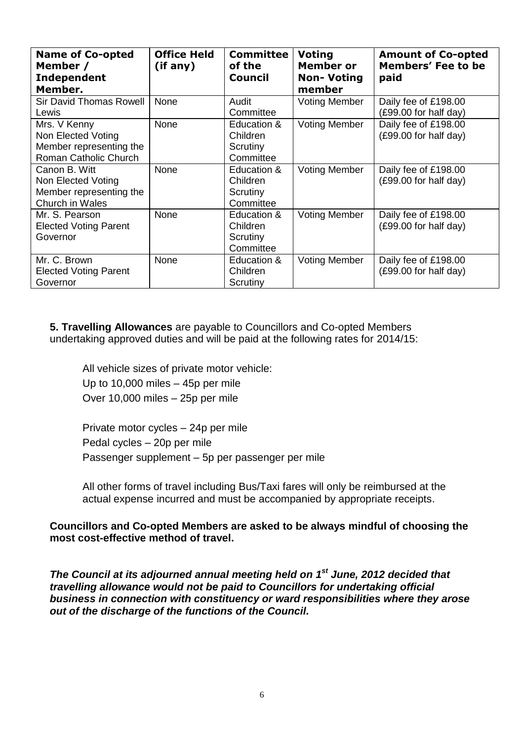| <b>Name of Co-opted</b><br>Member /<br><b>Independent</b><br>Member.                   | <b>Office Held</b><br>(i f any) | <b>Committee</b><br>of the<br><b>Council</b>     | <b>Voting</b><br><b>Member or</b><br><b>Non-Voting</b><br>member | <b>Amount of Co-opted</b><br><b>Members' Fee to be</b><br>paid |
|----------------------------------------------------------------------------------------|---------------------------------|--------------------------------------------------|------------------------------------------------------------------|----------------------------------------------------------------|
| <b>Sir David Thomas Rowell</b><br>Lewis                                                | None                            | Audit<br>Committee                               | <b>Voting Member</b>                                             | Daily fee of £198.00<br>$(E99.00$ for half day)                |
| Mrs. V Kenny<br>Non Elected Voting<br>Member representing the<br>Roman Catholic Church | None                            | Education &<br>Children<br>Scrutiny<br>Committee | <b>Voting Member</b>                                             | Daily fee of £198.00<br>(£99.00 for half day)                  |
| Canon B. Witt<br>Non Elected Voting<br>Member representing the<br>Church in Wales      | None                            | Education &<br>Children<br>Scrutiny<br>Committee | <b>Voting Member</b>                                             | Daily fee of £198.00<br>$(E99.00$ for half day)                |
| Mr. S. Pearson<br><b>Elected Voting Parent</b><br>Governor                             | None                            | Education &<br>Children<br>Scrutiny<br>Committee | <b>Voting Member</b>                                             | Daily fee of £198.00<br>(£99.00 for half day)                  |
| Mr. C. Brown<br><b>Elected Voting Parent</b><br>Governor                               | None                            | Education &<br>Children<br>Scrutiny              | <b>Voting Member</b>                                             | Daily fee of £198.00<br>(£99.00 for half day)                  |

**5. Travelling Allowances** are payable to Councillors and Co-opted Members undertaking approved duties and will be paid at the following rates for 2014/15:

All vehicle sizes of private motor vehicle: Up to 10,000 miles – 45p per mile Over 10,000 miles – 25p per mile

Private motor cycles – 24p per mile Pedal cycles – 20p per mile Passenger supplement – 5p per passenger per mile

All other forms of travel including Bus/Taxi fares will only be reimbursed at the actual expense incurred and must be accompanied by appropriate receipts.

#### **Councillors and Co-opted Members are asked to be always mindful of choosing the most cost-effective method of travel.**

*The Council at its adjourned annual meeting held on 1st June, 2012 decided that travelling allowance would not be paid to Councillors for undertaking official business in connection with constituency or ward responsibilities where they arose out of the discharge of the functions of the Council.*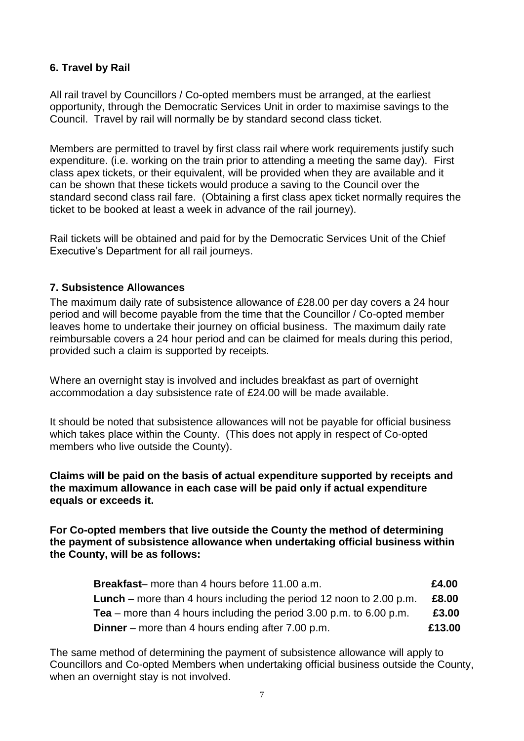# **6. Travel by Rail**

All rail travel by Councillors / Co-opted members must be arranged, at the earliest opportunity, through the Democratic Services Unit in order to maximise savings to the Council. Travel by rail will normally be by standard second class ticket.

Members are permitted to travel by first class rail where work requirements justify such expenditure. (i.e. working on the train prior to attending a meeting the same day). First class apex tickets, or their equivalent, will be provided when they are available and it can be shown that these tickets would produce a saving to the Council over the standard second class rail fare. (Obtaining a first class apex ticket normally requires the ticket to be booked at least a week in advance of the rail journey).

Rail tickets will be obtained and paid for by the Democratic Services Unit of the Chief Executive's Department for all rail journeys.

## **7. Subsistence Allowances**

The maximum daily rate of subsistence allowance of £28.00 per day covers a 24 hour period and will become payable from the time that the Councillor / Co-opted member leaves home to undertake their journey on official business. The maximum daily rate reimbursable covers a 24 hour period and can be claimed for meals during this period, provided such a claim is supported by receipts.

Where an overnight stay is involved and includes breakfast as part of overnight accommodation a day subsistence rate of £24.00 will be made available.

It should be noted that subsistence allowances will not be payable for official business which takes place within the County. (This does not apply in respect of Co-opted members who live outside the County).

**Claims will be paid on the basis of actual expenditure supported by receipts and the maximum allowance in each case will be paid only if actual expenditure equals or exceeds it.**

**For Co-opted members that live outside the County the method of determining the payment of subsistence allowance when undertaking official business within the County, will be as follows:**

| <b>Breakfast-</b> more than 4 hours before 11.00 a.m.                      | £4.00  |
|----------------------------------------------------------------------------|--------|
| <b>Lunch</b> – more than 4 hours including the period 12 noon to 2.00 p.m. | £8.00  |
| <b>Tea</b> – more than 4 hours including the period 3.00 p.m. to 6.00 p.m. | £3.00  |
| <b>Dinner</b> – more than 4 hours ending after 7.00 p.m.                   | £13.00 |

The same method of determining the payment of subsistence allowance will apply to Councillors and Co-opted Members when undertaking official business outside the County, when an overnight stay is not involved.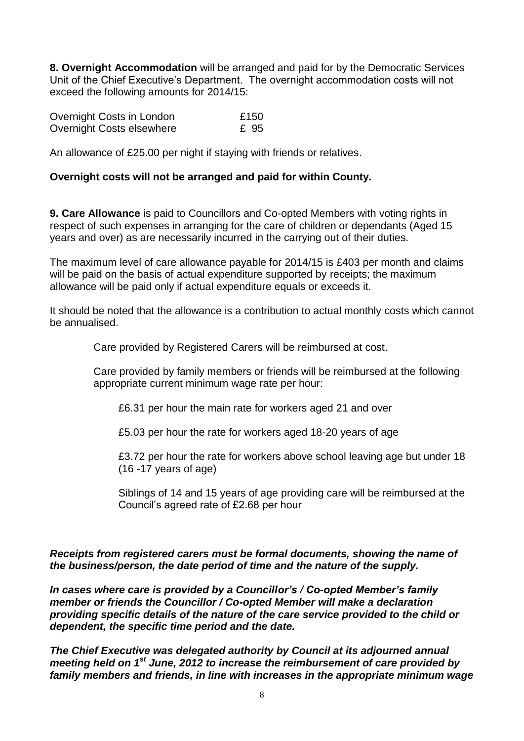**8. Overnight Accommodation** will be arranged and paid for by the Democratic Services Unit of the Chief Executive's Department. The overnight accommodation costs will not exceed the following amounts for 2014/15:

| Overnight Costs in London | £150 |
|---------------------------|------|
| Overnight Costs elsewhere | £ 95 |

An allowance of £25.00 per night if staying with friends or relatives.

### **Overnight costs will not be arranged and paid for within County.**

**9. Care Allowance** is paid to Councillors and Co-opted Members with voting rights in respect of such expenses in arranging for the care of children or dependants (Aged 15 years and over) as are necessarily incurred in the carrying out of their duties.

The maximum level of care allowance payable for 2014/15 is £403 per month and claims will be paid on the basis of actual expenditure supported by receipts; the maximum allowance will be paid only if actual expenditure equals or exceeds it.

It should be noted that the allowance is a contribution to actual monthly costs which cannot be annualised.

Care provided by Registered Carers will be reimbursed at cost.

Care provided by family members or friends will be reimbursed at the following appropriate current minimum wage rate per hour:

£6.31 per hour the main rate for workers aged 21 and over

£5.03 per hour the rate for workers aged 18-20 years of age

£3.72 per hour the rate for workers above school leaving age but under 18 (16 -17 years of age)

Siblings of 14 and 15 years of age providing care will be reimbursed at the Council's agreed rate of £2.68 per hour

#### *Receipts from registered carers must be formal documents, showing the name of the business/person, the date period of time and the nature of the supply.*

*In cases where care is provided by a Councillor's / Co-opted Member's family member or friends the Councillor / Co-opted Member will make a declaration providing specific details of the nature of the care service provided to the child or dependent, the specific time period and the date.*

*The Chief Executive was delegated authority by Council at its adjourned annual meeting held on 1st June, 2012 to increase the reimbursement of care provided by family members and friends, in line with increases in the appropriate minimum wage*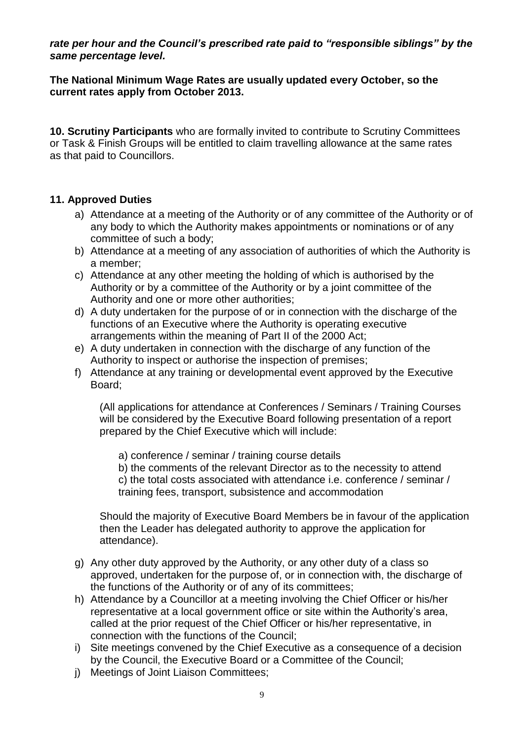*rate per hour and the Council's prescribed rate paid to "responsible siblings" by the same percentage level.*

## **The National Minimum Wage Rates are usually updated every October, so the current rates apply from October 2013.**

**10. Scrutiny Participants** who are formally invited to contribute to Scrutiny Committees or Task & Finish Groups will be entitled to claim travelling allowance at the same rates as that paid to Councillors.

# **11. Approved Duties**

- a) Attendance at a meeting of the Authority or of any committee of the Authority or of any body to which the Authority makes appointments or nominations or of any committee of such a body;
- b) Attendance at a meeting of any association of authorities of which the Authority is a member;
- c) Attendance at any other meeting the holding of which is authorised by the Authority or by a committee of the Authority or by a joint committee of the Authority and one or more other authorities;
- d) A duty undertaken for the purpose of or in connection with the discharge of the functions of an Executive where the Authority is operating executive arrangements within the meaning of Part II of the 2000 Act;
- e) A duty undertaken in connection with the discharge of any function of the Authority to inspect or authorise the inspection of premises;
- f) Attendance at any training or developmental event approved by the Executive Board;

(All applications for attendance at Conferences / Seminars / Training Courses will be considered by the Executive Board following presentation of a report prepared by the Chief Executive which will include:

a) conference / seminar / training course details

b) the comments of the relevant Director as to the necessity to attend c) the total costs associated with attendance i.e. conference / seminar / training fees, transport, subsistence and accommodation

Should the majority of Executive Board Members be in favour of the application then the Leader has delegated authority to approve the application for attendance).

- g) Any other duty approved by the Authority, or any other duty of a class so approved, undertaken for the purpose of, or in connection with, the discharge of the functions of the Authority or of any of its committees;
- h) Attendance by a Councillor at a meeting involving the Chief Officer or his/her representative at a local government office or site within the Authority's area, called at the prior request of the Chief Officer or his/her representative, in connection with the functions of the Council;
- i) Site meetings convened by the Chief Executive as a consequence of a decision by the Council, the Executive Board or a Committee of the Council;
- j) Meetings of Joint Liaison Committees;